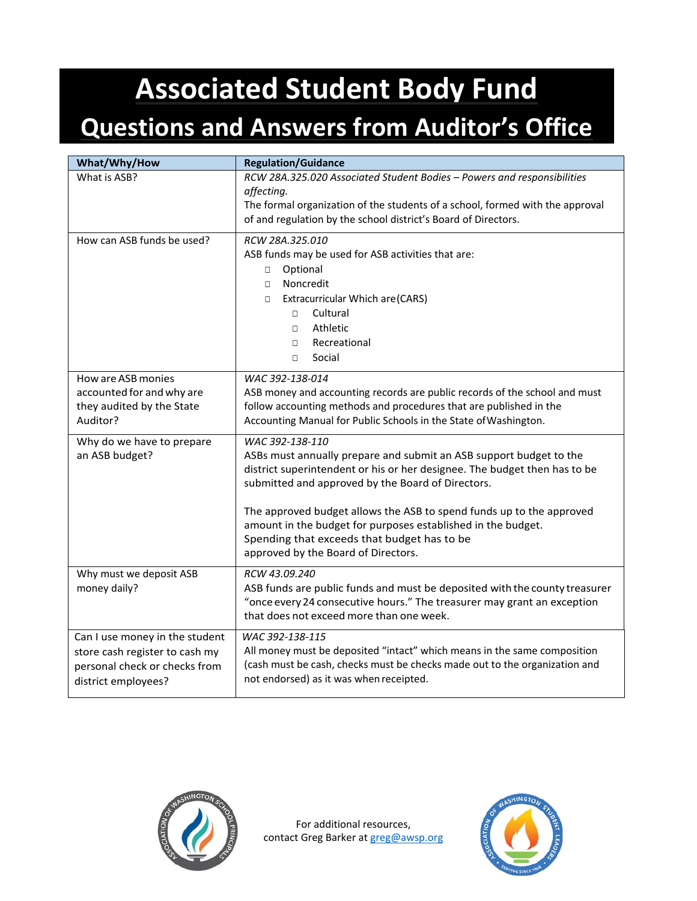## **Associated Student Body Fund**

## **Questions and Answers from Auditor's Office**

| What/Why/How                                                                                                             | <b>Regulation/Guidance</b>                                                                                                                                                                                                                                                                                                                                                                                                                            |
|--------------------------------------------------------------------------------------------------------------------------|-------------------------------------------------------------------------------------------------------------------------------------------------------------------------------------------------------------------------------------------------------------------------------------------------------------------------------------------------------------------------------------------------------------------------------------------------------|
| What is ASB?                                                                                                             | RCW 28A.325.020 Associated Student Bodies - Powers and responsibilities<br>affecting.<br>The formal organization of the students of a school, formed with the approval<br>of and regulation by the school district's Board of Directors.                                                                                                                                                                                                              |
| How can ASB funds be used?                                                                                               | RCW 28A.325.010<br>ASB funds may be used for ASB activities that are:<br>Optional<br>$\Box$<br>Noncredit<br>$\Box$<br>Extracurricular Which are (CARS)<br>$\Box$<br>Cultural<br>$\Box$<br>Athletic<br>$\Box$<br>Recreational<br>$\Box$<br>Social<br>$\Box$                                                                                                                                                                                            |
| How are ASB monies<br>accounted for and why are<br>they audited by the State<br>Auditor?                                 | WAC 392-138-014<br>ASB money and accounting records are public records of the school and must<br>follow accounting methods and procedures that are published in the<br>Accounting Manual for Public Schools in the State of Washington.                                                                                                                                                                                                               |
| Why do we have to prepare<br>an ASB budget?                                                                              | WAC 392-138-110<br>ASBs must annually prepare and submit an ASB support budget to the<br>district superintendent or his or her designee. The budget then has to be<br>submitted and approved by the Board of Directors.<br>The approved budget allows the ASB to spend funds up to the approved<br>amount in the budget for purposes established in the budget.<br>Spending that exceeds that budget has to be<br>approved by the Board of Directors. |
| Why must we deposit ASB<br>money daily?                                                                                  | RCW 43.09.240<br>ASB funds are public funds and must be deposited with the county treasurer<br>"once every 24 consecutive hours." The treasurer may grant an exception<br>that does not exceed more than one week.                                                                                                                                                                                                                                    |
| Can I use money in the student<br>store cash register to cash my<br>personal check or checks from<br>district employees? | WAC 392-138-115<br>All money must be deposited "intact" which means in the same composition<br>(cash must be cash, checks must be checks made out to the organization and<br>not endorsed) as it was when receipted.                                                                                                                                                                                                                                  |



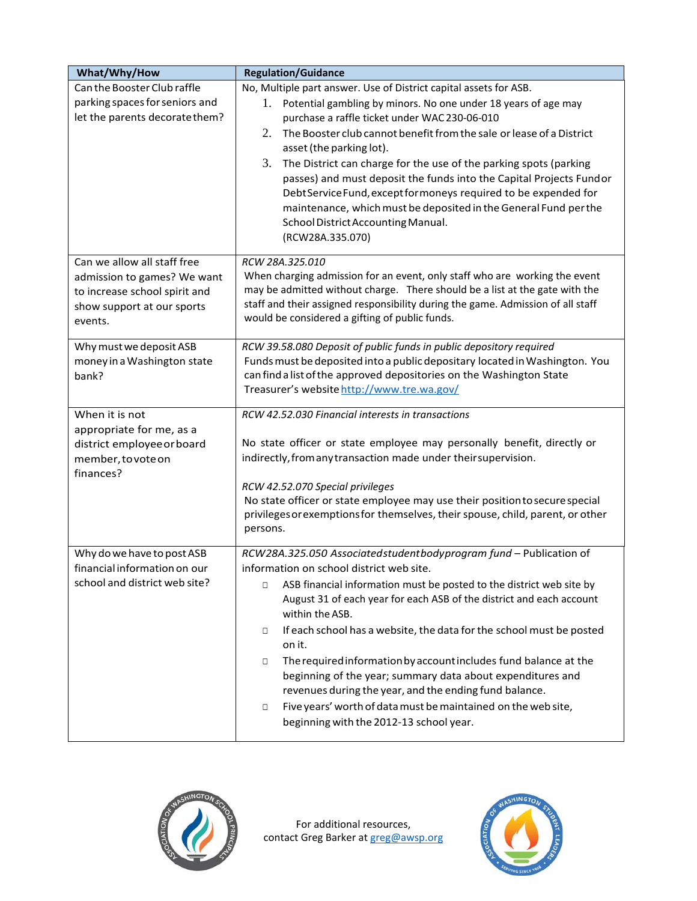| What/Why/How                                                                                          | <b>Regulation/Guidance</b>                                                                                                                                                                                                                                                                                                                                                                                                                                                                                                                                                                        |
|-------------------------------------------------------------------------------------------------------|---------------------------------------------------------------------------------------------------------------------------------------------------------------------------------------------------------------------------------------------------------------------------------------------------------------------------------------------------------------------------------------------------------------------------------------------------------------------------------------------------------------------------------------------------------------------------------------------------|
| Can the Booster Club raffle<br>parking spaces for seniors and                                         | No, Multiple part answer. Use of District capital assets for ASB.<br>1. Potential gambling by minors. No one under 18 years of age may                                                                                                                                                                                                                                                                                                                                                                                                                                                            |
| let the parents decorate them?                                                                        | purchase a raffle ticket under WAC 230-06-010                                                                                                                                                                                                                                                                                                                                                                                                                                                                                                                                                     |
|                                                                                                       | 2.<br>The Booster club cannot benefit from the sale or lease of a District<br>asset (the parking lot).                                                                                                                                                                                                                                                                                                                                                                                                                                                                                            |
|                                                                                                       | 3.<br>The District can charge for the use of the parking spots (parking<br>passes) and must deposit the funds into the Capital Projects Fundor<br>Debt Service Fund, except for moneys required to be expended for<br>maintenance, which must be deposited in the General Fund per the<br>School District Accounting Manual.<br>(RCW28A.335.070)                                                                                                                                                                                                                                                  |
| Can we allow all staff free                                                                           | RCW 28A.325.010                                                                                                                                                                                                                                                                                                                                                                                                                                                                                                                                                                                   |
| admission to games? We want<br>to increase school spirit and<br>show support at our sports<br>events. | When charging admission for an event, only staff who are working the event<br>may be admitted without charge. There should be a list at the gate with the<br>staff and their assigned responsibility during the game. Admission of all staff<br>would be considered a gifting of public funds.                                                                                                                                                                                                                                                                                                    |
| Why must we deposit ASB                                                                               | RCW 39.58.080 Deposit of public funds in public depository required                                                                                                                                                                                                                                                                                                                                                                                                                                                                                                                               |
| money in a Washington state<br>bank?                                                                  | Funds must be deposited into a public depositary located in Washington. You<br>can find a list of the approved depositories on the Washington State<br>Treasurer's website http://www.tre.wa.gov/                                                                                                                                                                                                                                                                                                                                                                                                 |
| When it is not                                                                                        | RCW 42.52.030 Financial interests in transactions                                                                                                                                                                                                                                                                                                                                                                                                                                                                                                                                                 |
| appropriate for me, as a<br>district employee or board<br>member, to vote on<br>finances?             | No state officer or state employee may personally benefit, directly or<br>indirectly, from any transaction made under their supervision.                                                                                                                                                                                                                                                                                                                                                                                                                                                          |
|                                                                                                       | RCW 42.52.070 Special privileges                                                                                                                                                                                                                                                                                                                                                                                                                                                                                                                                                                  |
|                                                                                                       | No state officer or state employee may use their position to secure special<br>privileges or exemptions for themselves, their spouse, child, parent, or other<br>persons.                                                                                                                                                                                                                                                                                                                                                                                                                         |
| Why do we have to post ASB                                                                            | RCW28A.325.050 Associatedstudentbodyprogram fund - Publication of<br>information on school district web site.                                                                                                                                                                                                                                                                                                                                                                                                                                                                                     |
| financial information on our<br>school and district web site?                                         | ASB financial information must be posted to the district web site by<br>$\Box$<br>August 31 of each year for each ASB of the district and each account<br>within the ASB.<br>If each school has a website, the data for the school must be posted<br>$\Box$<br>on it.<br>The required information by account includes fund balance at the<br>$\Box$<br>beginning of the year; summary data about expenditures and<br>revenues during the year, and the ending fund balance.<br>Five years' worth of data must be maintained on the web site,<br>$\Box$<br>beginning with the 2012-13 school year. |